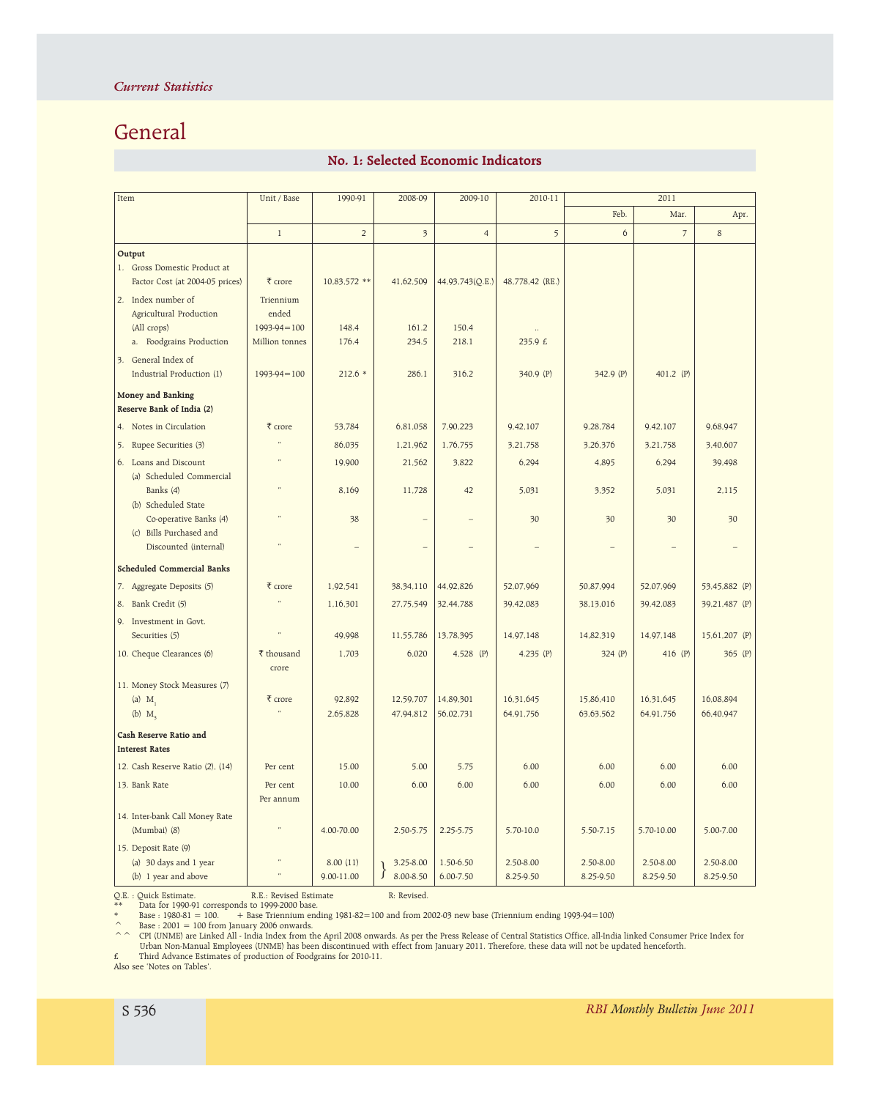## General

## No. 1: Selected Economic Indicators

| Item                                             | Unit / Base       | 1990-91                  | 2008-09                 | 2009-10         | 2010-11         | 2011      |                |               |
|--------------------------------------------------|-------------------|--------------------------|-------------------------|-----------------|-----------------|-----------|----------------|---------------|
|                                                  |                   |                          |                         |                 |                 | Feb.      | Mar.           | Apr.          |
|                                                  | $\mathbf{1}$      | $\overline{2}$           | $\overline{\mathbf{3}}$ | $\overline{4}$  | 5               | 6         | $\overline{7}$ | 8             |
| Output                                           |                   |                          |                         |                 |                 |           |                |               |
| 1. Gross Domestic Product at                     |                   |                          |                         |                 |                 |           |                |               |
| Factor Cost (at 2004-05 prices)                  | ₹ crore           | 10,83,572 **             | 41,62,509               | 44,93,743(Q.E.) | 48,778,42 (RE.) |           |                |               |
| 2. Index number of                               | Triennium         |                          |                         |                 |                 |           |                |               |
| Agricultural Production                          | ended             |                          |                         |                 |                 |           |                |               |
| (All crops)                                      | $1993-94=100$     | 148.4                    | 161.2                   | 150.4           |                 |           |                |               |
| a. Foodgrains Production                         | Million tonnes    | 176.4                    | 234.5                   | 218.1           | 235.9 £         |           |                |               |
| 3. General Index of                              |                   |                          |                         |                 |                 |           |                |               |
| Industrial Production (1)                        | $1993 - 94 = 100$ | $212.6*$                 | 286.1                   | 316.2           | 340.9 (P)       | 342.9 (P) | 401.2 (P)      |               |
| Money and Banking                                |                   |                          |                         |                 |                 |           |                |               |
| Reserve Bank of India (2)                        |                   |                          |                         |                 |                 |           |                |               |
| 4. Notes in Circulation                          | ₹ crore           | 53,784                   | 6,81,058                | 7,90,223        | 9,42,107        | 9,28,784  | 9,42,107       | 9,68,947      |
| 5. Rupee Securities (3)                          |                   | 86,035                   | 1,21,962                | 1,76,755        | 3,21,758        | 3,26,376  | 3,21,758       | 3,40,607      |
| 6. Loans and Discount                            |                   | 19,900                   | 21,562                  | 3,822           | 6,294           | 4,895     | 6,294          | 39,498        |
| (a) Scheduled Commercial                         | $\ddot{ }$        |                          |                         |                 |                 |           |                |               |
| Banks (4)                                        |                   | 8,169                    | 11,728                  | 42              | 5,031           | 3,352     | 5,031          | 2,115         |
| (b) Scheduled State                              |                   |                          |                         |                 |                 |           |                |               |
| Co-operative Banks (4)                           |                   | 38                       |                         |                 | 30              | 30        | 30             | 30            |
| (c) Bills Purchased and<br>Discounted (internal) |                   | $\overline{\phantom{0}}$ |                         |                 |                 |           |                |               |
|                                                  |                   |                          |                         |                 |                 |           |                |               |
| <b>Scheduled Commercial Banks</b>                |                   |                          |                         |                 |                 |           |                |               |
| 7. Aggregate Deposits (5)                        | ₹ crore           | 1,92,541                 | 38,34,110               | 44,92,826       | 52,07,969       | 50,87,994 | 52,07,969      | 53.45,882 (P) |
| 8. Bank Credit (5)                               |                   | 1,16,301                 | 27,75,549               | 32,44,788       | 39,42,083       | 38,13,016 | 39,42,083      | 39,21,487 (P) |
| 9. Investment in Govt.                           |                   |                          |                         |                 |                 |           |                |               |
| Securities (5)                                   |                   | 49,998                   | 11,55,786               | 13,78,395       | 14,97,148       | 14,82,319 | 14,97,148      | 15,61,207 (P) |
| 10. Cheque Clearances (6)                        | ₹ thousand        | 1,703                    | 6,020                   | $4,528$ (P)     | 4.235 $(P)$     | 324(P)    | 416 (P)        | $365$ (P)     |
|                                                  | crore             |                          |                         |                 |                 |           |                |               |
| 11. Money Stock Measures (7)                     |                   |                          |                         |                 |                 |           |                |               |
| (a) $M_1$                                        | ₹ crore           | 92,892                   | 12,59,707               | 14,89,301       | 16,31,645       | 15,86,410 | 16,31,645      | 16,08,894     |
| (b) $M3$                                         |                   | 2.65.828                 | 47,94,812               | 56,02,731       | 64,91,756       | 63,63,562 | 64,91,756      | 66,40,947     |
| Cash Reserve Ratio and                           |                   |                          |                         |                 |                 |           |                |               |
| <b>Interest Rates</b>                            |                   |                          |                         |                 |                 |           |                |               |
| 12. Cash Reserve Ratio (2), (14)                 | Per cent          | 15.00                    | 5.00                    | 5.75            | 6.00            | 6.00      | 6.00           | 6.00          |
| 13. Bank Rate                                    | Per cent          | 10.00                    | 6.00                    | 6.00            | 6.00            | 6.00      | 6.00           | 6.00          |
|                                                  | Per annum         |                          |                         |                 |                 |           |                |               |
| 14. Inter-bank Call Money Rate                   |                   |                          |                         |                 |                 |           |                |               |
| (Mumbai) (8)                                     |                   | 4.00-70.00               | 2.50-5.75               | $2.25 - 5.75$   | 5.70-10.0       | 5.50-7.15 | 5.70-10.00     | 5.00-7.00     |
| 15. Deposit Rate (9)                             |                   |                          |                         |                 |                 |           |                |               |
| (a) 30 days and 1 year                           | $\pmb{\epsilon}$  | 8.00(11)                 | 3.25-8.00               | 1.50-6.50       | 2.50-8.00       | 2.50-8.00 | 2.50-8.00      | 2.50-8.00     |
| (b) 1 year and above                             |                   | 9.00-11.00               | $\}$<br>8.00-8.50       | $6.00 - 7.50$   | 8.25-9.50       | 8.25-9.50 | 8.25-9.50      | 8.25-9.50     |

Q.E. : Quick Estimate. R.E.: Revised Estimate R: Revised.

\*\* Data for 1990-91 corresponds to 1999-2000 base. \* Base : 1980-81 = 100. + Base Triennium ending 1981-82=100 and from 2002-03 new base (Triennium ending 1993-94=100)

 $\degree$  Base : 2001 = 100 from January 2006 onwards.

^ ^ CPI (UNME) are Linked All - India Index from the April 2008 onwards. As per the Press Release of Central Statistics Office, all-India linked Consumer Price Index for<br>Urban Non-Manual Employees (UNME) has been discontin £ Third Advance Estimates of production of Foodgrains for 2010-11.

Also see 'Notes on Tables'.